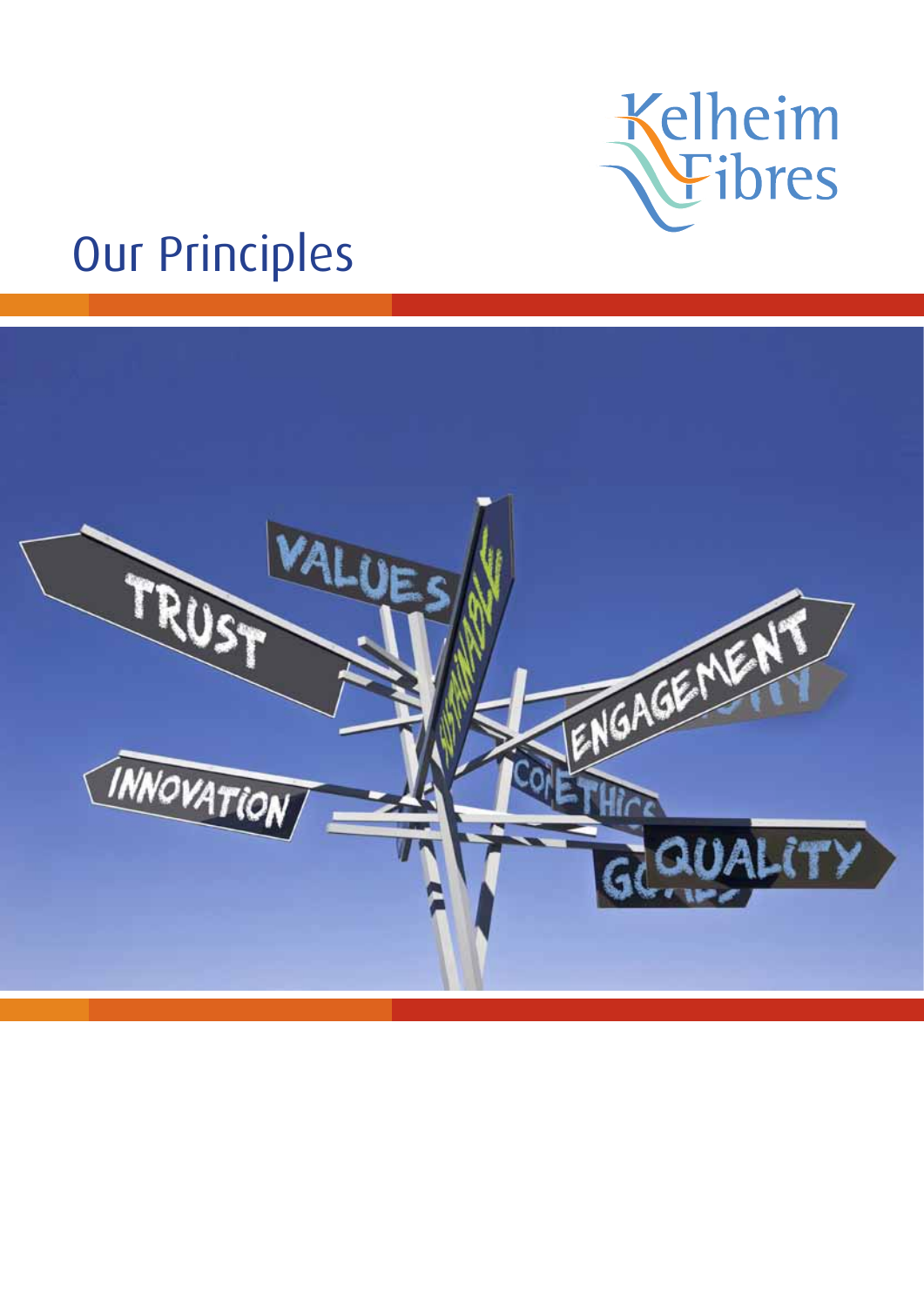

# Our Principles

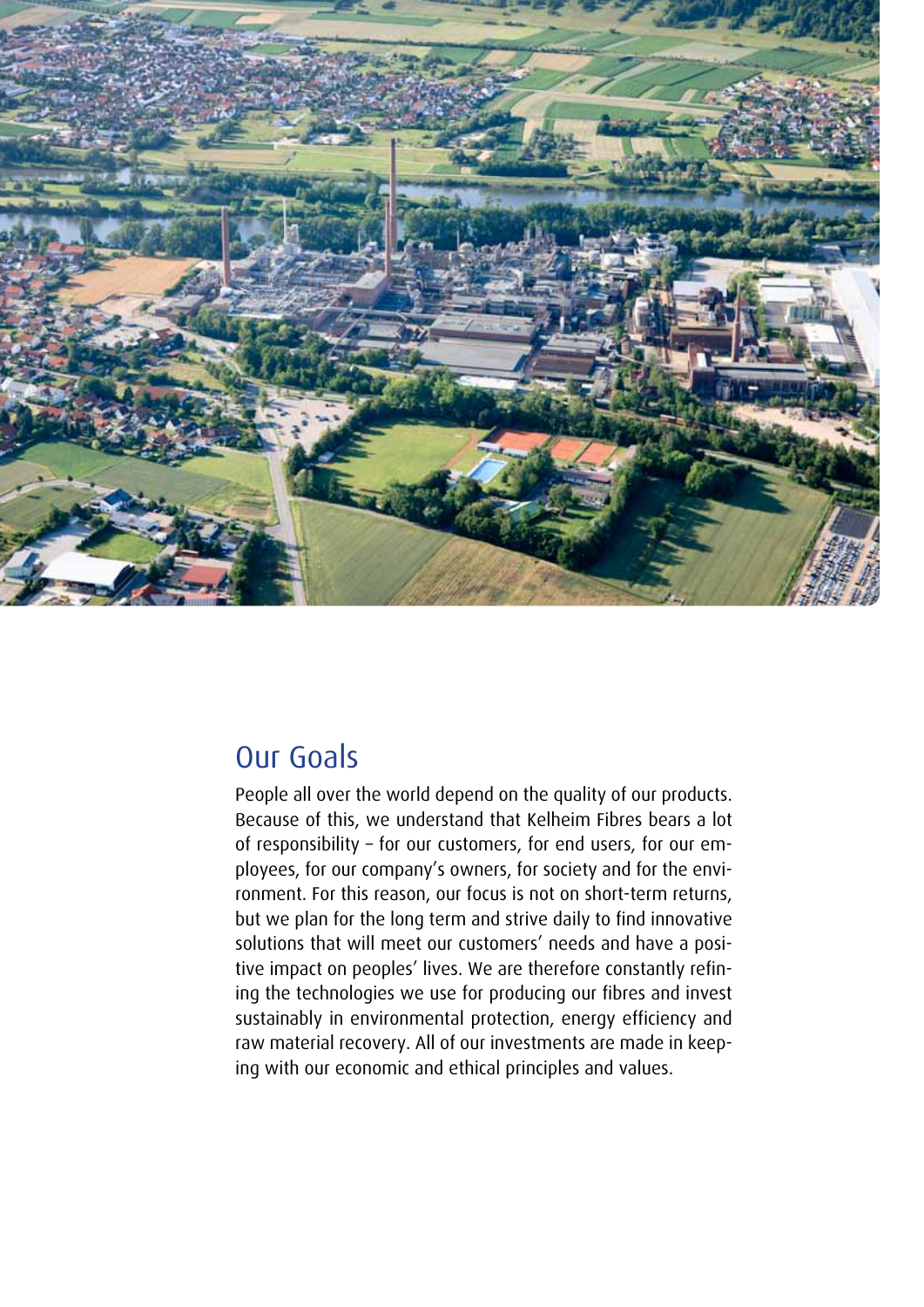

# Our Goals

People all over the world depend on the quality of our products. Because of this, we understand that Kelheim Fibres bears a lot of responsibility – for our customers, for end users, for our employees, for our company's owners, for society and for the environment. For this reason, our focus is not on short-term returns, but we plan for the long term and strive daily to find innovative solutions that will meet our customers' needs and have a positive impact on peoples' lives. We are therefore constantly refining the technologies we use for producing our fibres and invest sustainably in environmental protection, energy efficiency and raw material recovery. All of our investments are made in keeping with our economic and ethical principles and values.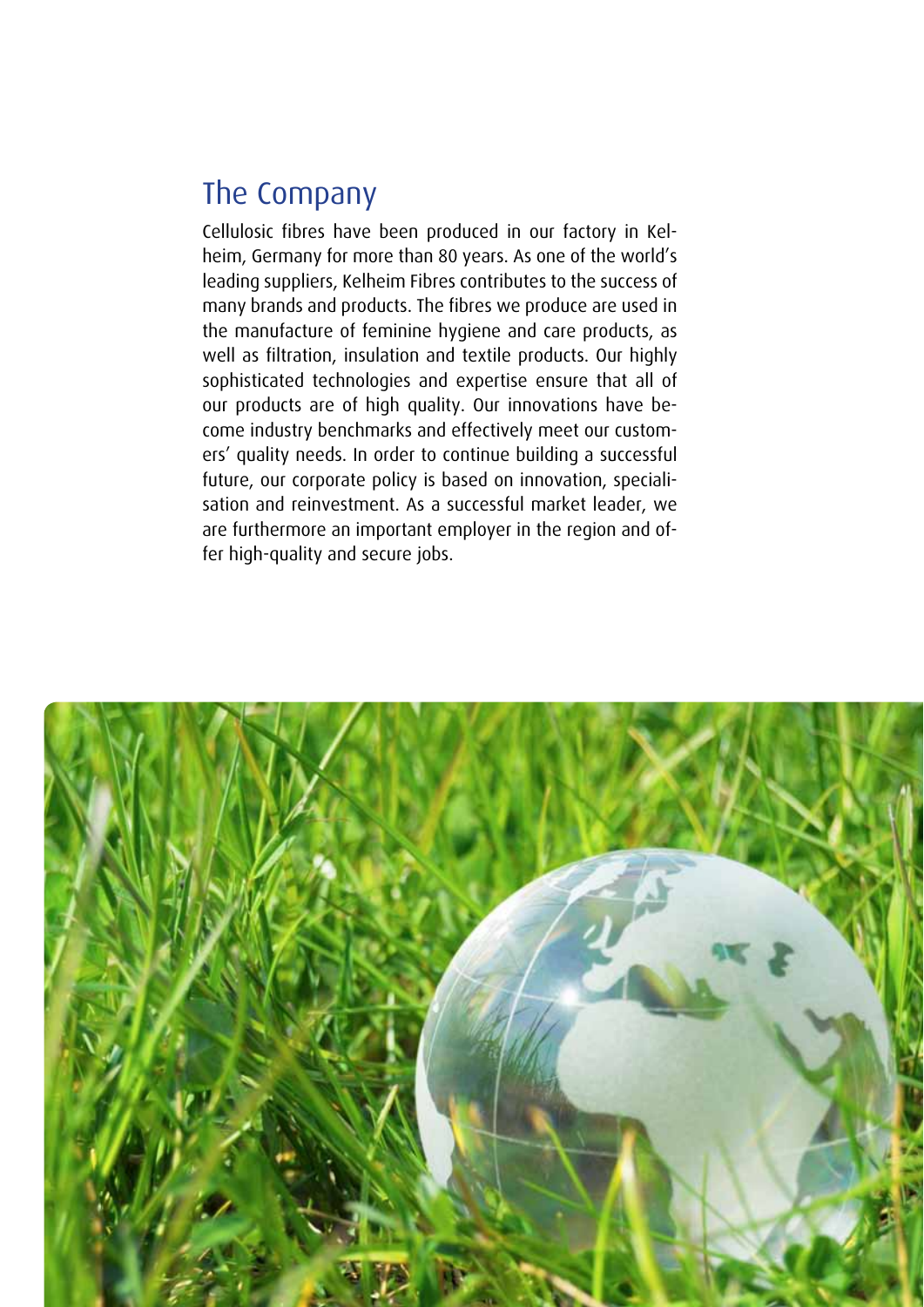# The Company

Cellulosic fibres have been produced in our factory in Kelheim, Germany for more than 80 years. As one of the world's leading suppliers, Kelheim Fibres contributes to the success of many brands and products. The fibres we produce are used in the manufacture of feminine hygiene and care products, as well as filtration, insulation and textile products. Our highly sophisticated technologies and expertise ensure that all of our products are of high quality. Our innovations have become industry benchmarks and effectively meet our customers' quality needs. In order to continue building a successful future, our corporate policy is based on innovation, specialisation and reinvestment. As a successful market leader, we are furthermore an important employer in the region and offer high-quality and secure jobs.

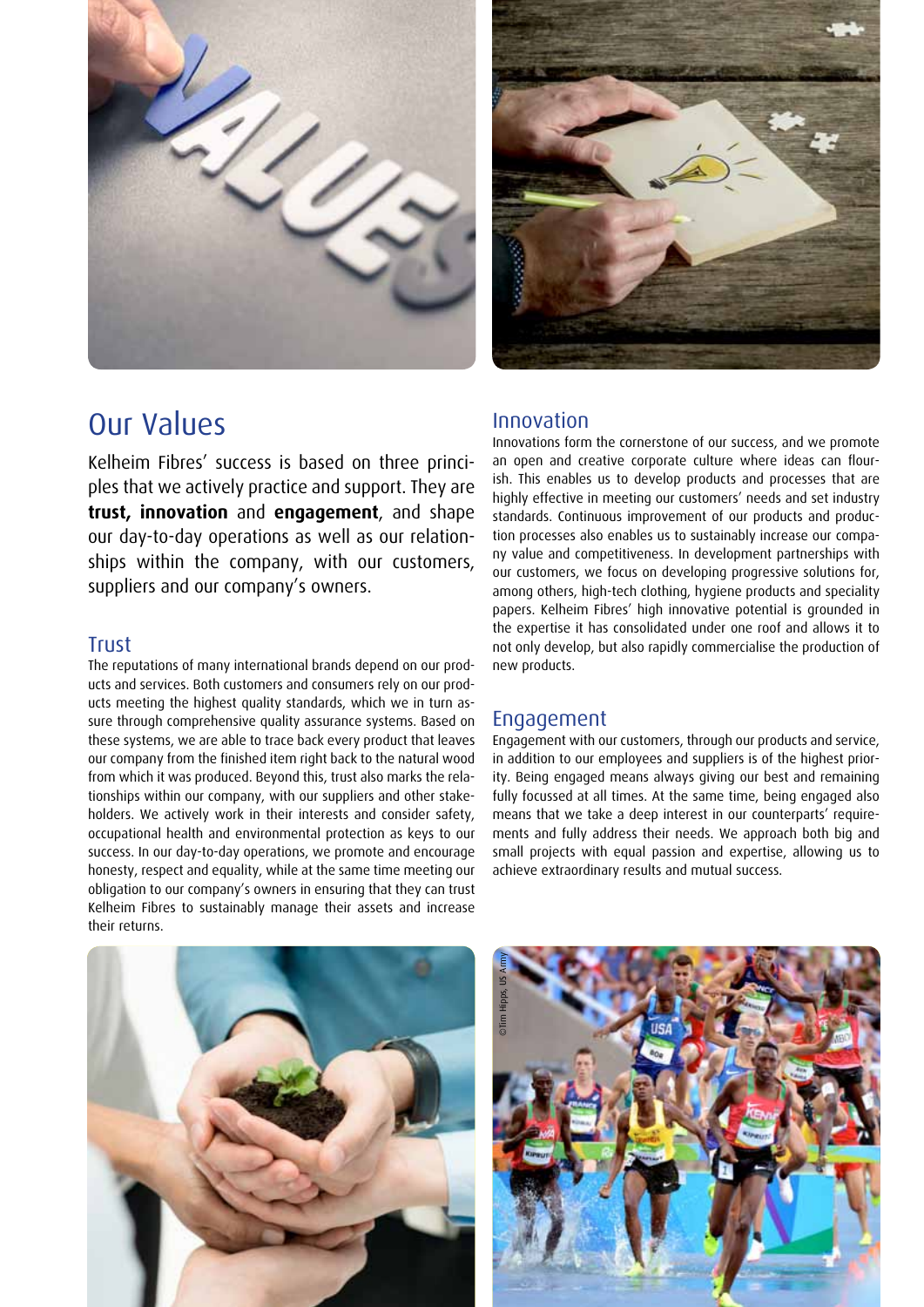



## Our Values

Kelheim Fibres' success is based on three principles that we actively practice and support. They are **trust, innovation** and **engagement**, and shape our day-to-day operations as well as our relationships within the company, with our customers, suppliers and our company's owners.

### Trust

The reputations of many international brands depend on our products and services. Both customers and consumers rely on our products meeting the highest quality standards, which we in turn assure through comprehensive quality assurance systems. Based on these systems, we are able to trace back every product that leaves our company from the finished item right back to the natural wood from which it was produced. Beyond this, trust also marks the relationships within our company, with our suppliers and other stakeholders. We actively work in their interests and consider safety, occupational health and environmental protection as keys to our success. In our day-to-day operations, we promote and encourage honesty, respect and equality, while at the same time meeting our obligation to our company's owners in ensuring that they can trust Kelheim Fibres to sustainably manage their assets and increase their returns.

### Innovation

Innovations form the cornerstone of our success, and we promote an open and creative corporate culture where ideas can flourish. This enables us to develop products and processes that are highly effective in meeting our customers' needs and set industry standards. Continuous improvement of our products and production processes also enables us to sustainably increase our company value and competitiveness. In development partnerships with our customers, we focus on developing progressive solutions for, among others, high-tech clothing, hygiene products and speciality papers. Kelheim Fibres' high innovative potential is grounded in the expertise it has consolidated under one roof and allows it to not only develop, but also rapidly commercialise the production of new products.

#### Engagement

Engagement with our customers, through our products and service, in addition to our employees and suppliers is of the highest priority. Being engaged means always giving our best and remaining fully focussed at all times. At the same time, being engaged also means that we take a deep interest in our counterparts' requirements and fully address their needs. We approach both big and small projects with equal passion and expertise, allowing us to achieve extraordinary results and mutual success.



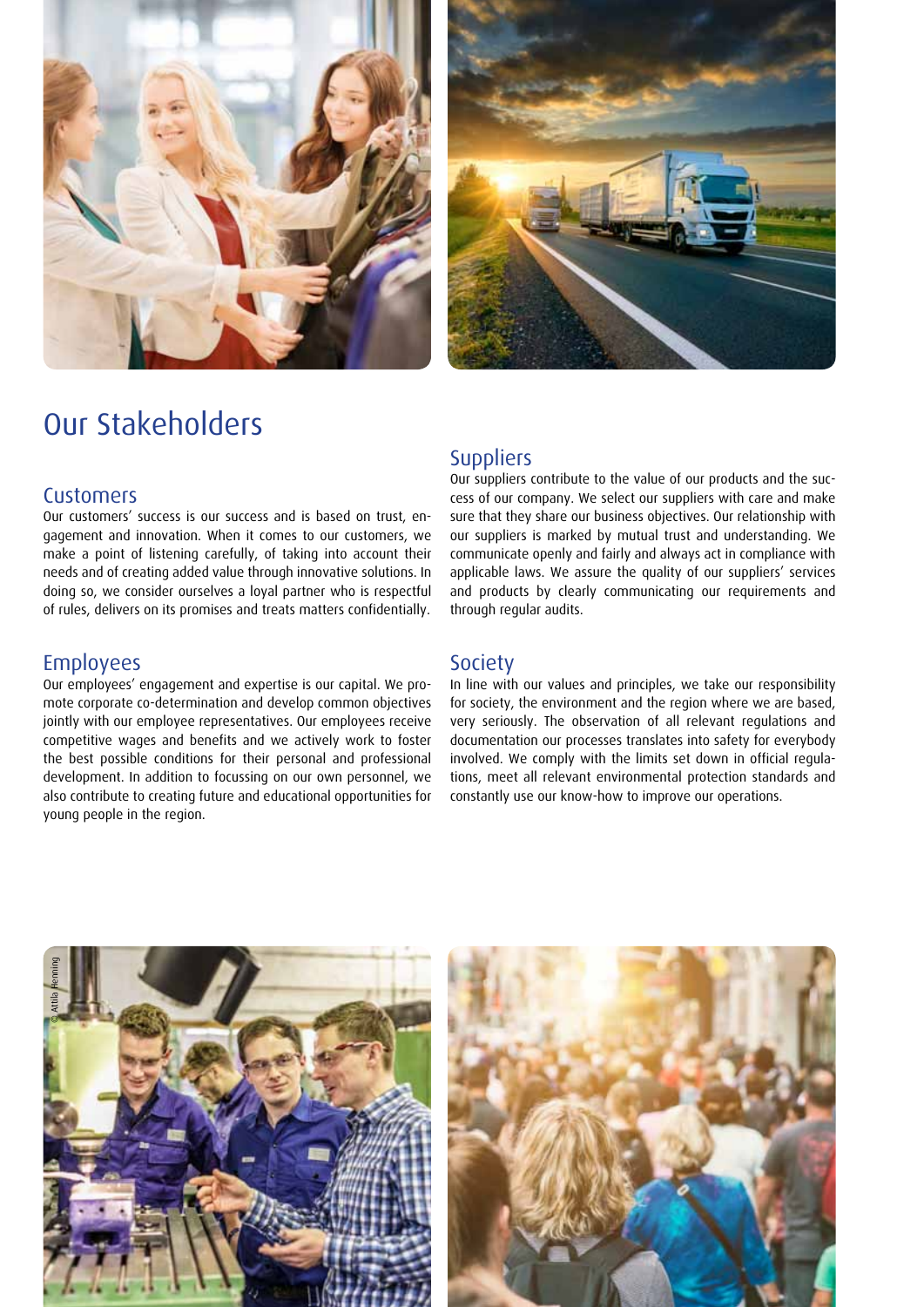



# Our Stakeholders

#### **Customers**

Our customers' success is our success and is based on trust, engagement and innovation. When it comes to our customers, we make a point of listening carefully, of taking into account their needs and of creating added value through innovative solutions. In doing so, we consider ourselves a loyal partner who is respectful of rules, delivers on its promises and treats matters confidentially.

#### Employees

Our employees' engagement and expertise is our capital. We promote corporate co-determination and develop common objectives jointly with our employee representatives. Our employees receive competitive wages and benefits and we actively work to foster the best possible conditions for their personal and professional development. In addition to focussing on our own personnel, we also contribute to creating future and educational opportunities for young people in the region.

#### **Suppliers**

Our suppliers contribute to the value of our products and the success of our company. We select our suppliers with care and make sure that they share our business objectives. Our relationship with our suppliers is marked by mutual trust and understanding. We communicate openly and fairly and always act in compliance with applicable laws. We assure the quality of our suppliers' services and products by clearly communicating our requirements and through regular audits.

#### **Society**

In line with our values and principles, we take our responsibility for society, the environment and the region where we are based, very seriously. The observation of all relevant regulations and documentation our processes translates into safety for everybody involved. We comply with the limits set down in official regulations, meet all relevant environmental protection standards and constantly use our know-how to improve our operations.

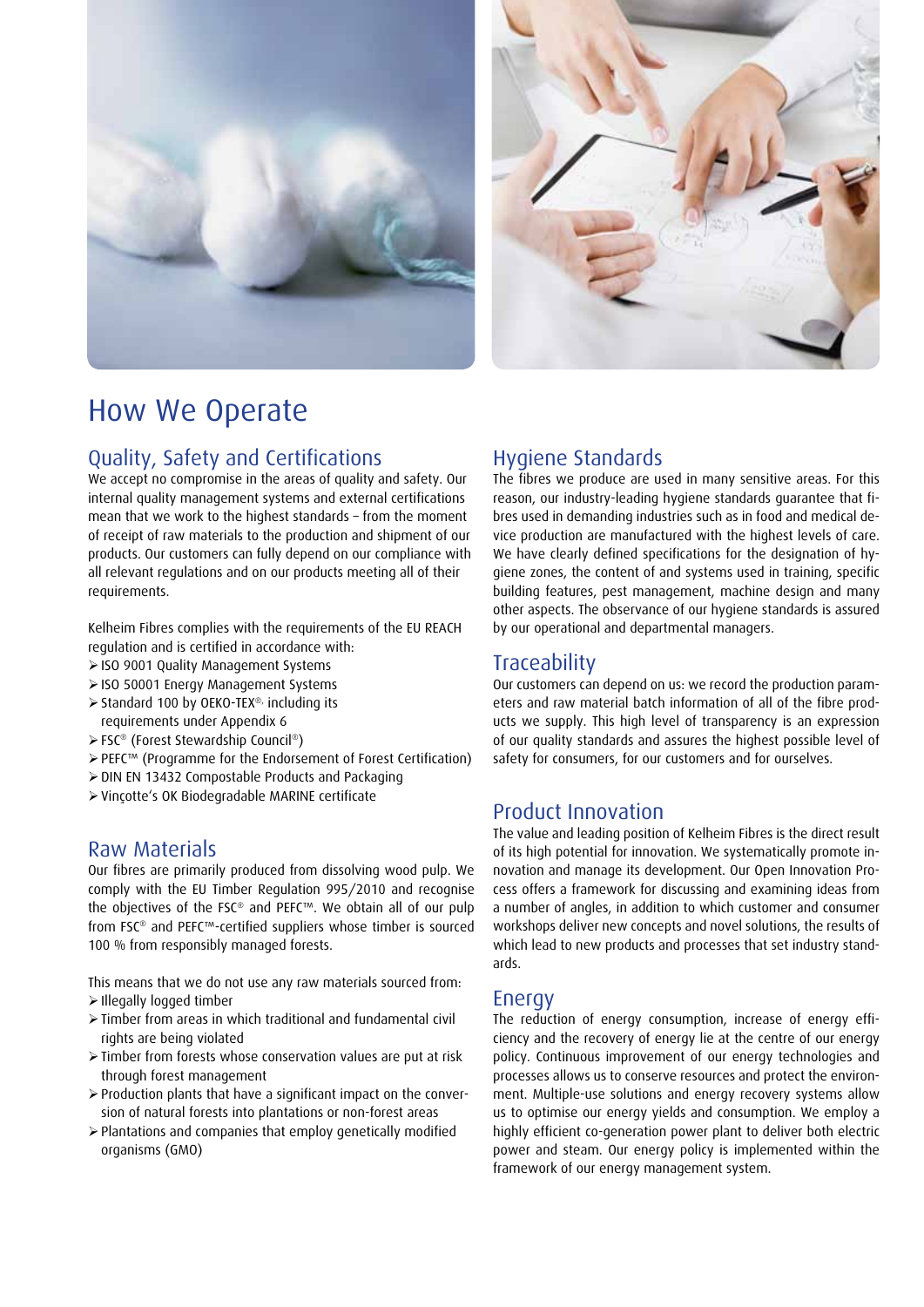



# How We Operate

### Quality, Safety and Certifications

We accept no compromise in the areas of quality and safety. Our internal quality management systems and external certifications mean that we work to the highest standards – from the moment of receipt of raw materials to the production and shipment of our products. Our customers can fully depend on our compliance with all relevant regulations and on our products meeting all of their requirements.

Kelheim Fibres complies with the requirements of the EU REACH regulation and is certified in accordance with:

- ISO 9001 Quality Management Systems
- ISO 50001 Energy Management Systems
- > Standard 100 by OEKO-TEX<sup>®,</sup> including its
- requirements under Appendix 6
- FSC® (Forest Stewardship Council®)
- PEFC™ (Programme for the Endorsement of Forest Certification)
- $\geq$  DIN EN 13432 Compostable Products and Packaging
- Vinçotte's OK Biodegradable MARINE certificate

#### Raw Materials

Our fibres are primarily produced from dissolving wood pulp. We comply with the EU Timber Regulation 995/2010 and recognise the objectives of the FSC® and PEFC™. We obtain all of our pulp from FSC® and PEFC™-certified suppliers whose timber is sourced 100 % from responsibly managed forests.

This means that we do not use any raw materials sourced from: Illegally logged timber

- $\triangleright$  Timber from areas in which traditional and fundamental civil rights are being violated
- Timber from forests whose conservation values are put at risk through forest management
- Production plants that have a significant impact on the conversion of natural forests into plantations or non-forest areas
- $\geq$  Plantations and companies that employ genetically modified organisms (GMO)

### Hygiene Standards

The fibres we produce are used in many sensitive areas. For this reason, our industry-leading hygiene standards guarantee that fibres used in demanding industries such as in food and medical device production are manufactured with the highest levels of care. We have clearly defined specifications for the designation of hygiene zones, the content of and systems used in training, specific building features, pest management, machine design and many other aspects. The observance of our hygiene standards is assured by our operational and departmental managers.

### Traceability

Our customers can depend on us: we record the production parameters and raw material batch information of all of the fibre products we supply. This high level of transparency is an expression of our quality standards and assures the highest possible level of safety for consumers, for our customers and for ourselves.

#### Product Innovation

The value and leading position of Kelheim Fibres is the direct result of its high potential for innovation. We systematically promote innovation and manage its development. Our Open Innovation Process offers a framework for discussing and examining ideas from a number of angles, in addition to which customer and consumer workshops deliver new concepts and novel solutions, the results of which lead to new products and processes that set industry standards.

#### Energy

The reduction of energy consumption, increase of energy efficiency and the recovery of energy lie at the centre of our energy policy. Continuous improvement of our energy technologies and processes allows us to conserve resources and protect the environment. Multiple-use solutions and energy recovery systems allow us to optimise our energy yields and consumption. We employ a highly efficient co-generation power plant to deliver both electric power and steam. Our energy policy is implemented within the framework of our energy management system.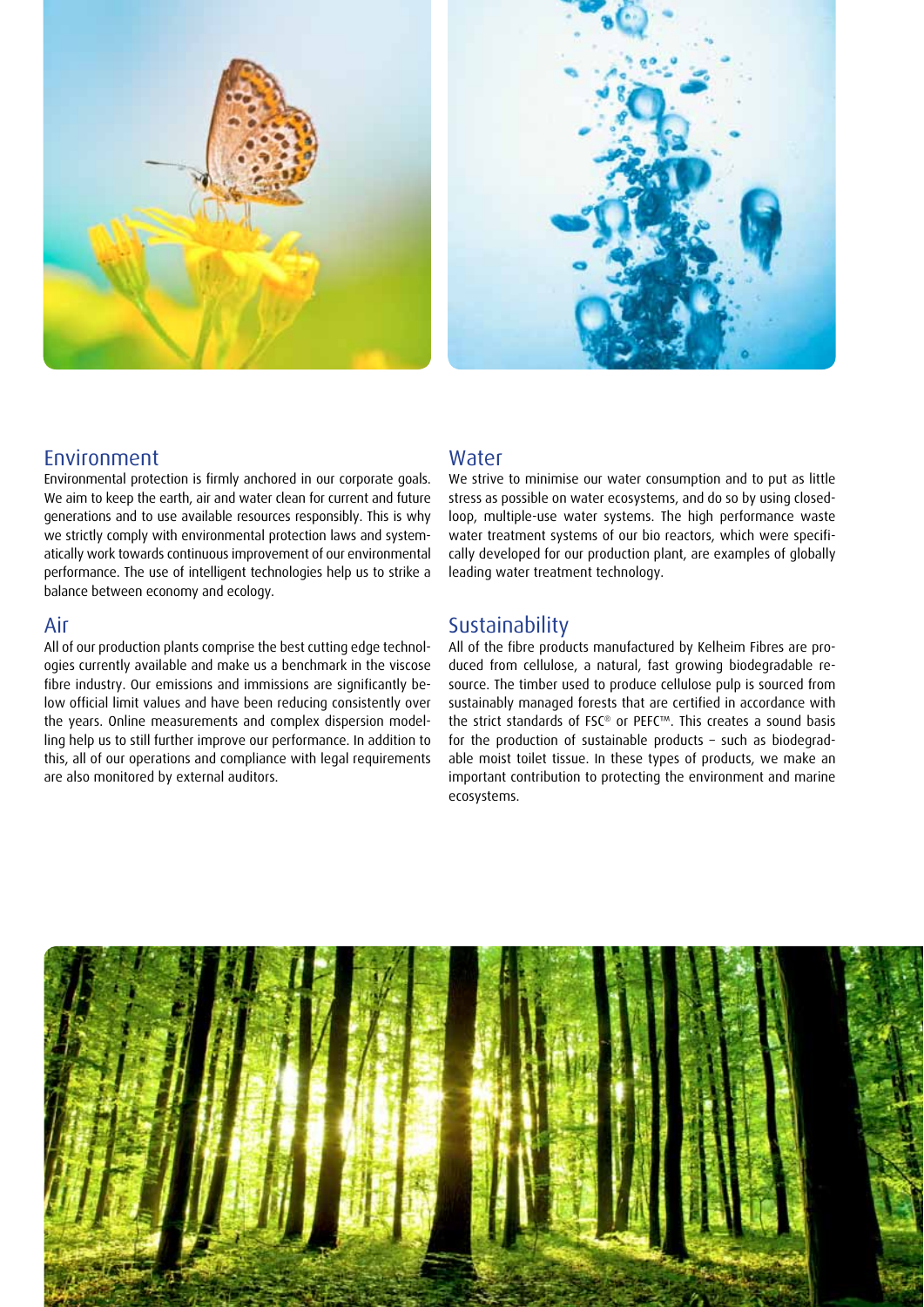



#### Environment

Environmental protection is firmly anchored in our corporate goals. We aim to keep the earth, air and water clean for current and future generations and to use available resources responsibly. This is why we strictly comply with environmental protection laws and systematically work towards continuous improvement of our environmental performance. The use of intelligent technologies help us to strike a balance between economy and ecology.

#### Air

All of our production plants comprise the best cutting edge technologies currently available and make us a benchmark in the viscose fibre industry. Our emissions and immissions are significantly below official limit values and have been reducing consistently over the years. Online measurements and complex dispersion modelling help us to still further improve our performance. In addition to this, all of our operations and compliance with legal requirements are also monitored by external auditors.

#### Water

We strive to minimise our water consumption and to put as little stress as possible on water ecosystems, and do so by using closedloop, multiple-use water systems. The high performance waste water treatment systems of our bio reactors, which were specifically developed for our production plant, are examples of globally leading water treatment technology.

#### Sustainability

All of the fibre products manufactured by Kelheim Fibres are produced from cellulose, a natural, fast growing biodegradable resource. The timber used to produce cellulose pulp is sourced from sustainably managed forests that are certified in accordance with the strict standards of FSC® or PEFC™. This creates a sound basis for the production of sustainable products – such as biodegradable moist toilet tissue. In these types of products, we make an important contribution to protecting the environment and marine ecosystems.